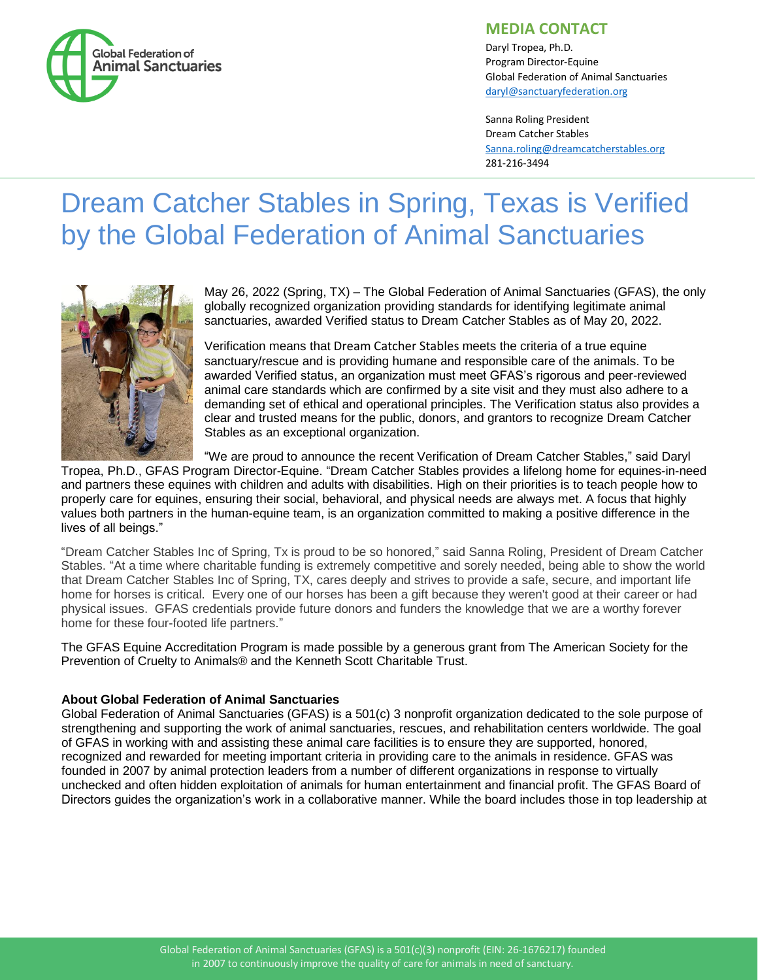

## **MEDIA CONTACT**

Daryl Tropea, Ph.D. Program Director-Equine Global Federation of Animal Sanctuaries [daryl@sanctuaryfederation.org](mailto:daryl@sanctuaryfederation.org)

Sanna Roling President Dream Catcher Stables [Sanna.roling@dreamcatcherstables.org](mailto:Sanna.roling@dreamcatcherstables.org) 281-216-3494

## Dream Catcher Stables in Spring, Texas is Verified by the Global Federation of Animal Sanctuaries



May 26, 2022 (Spring, TX) – The Global Federation of Animal Sanctuaries (GFAS), the only globally recognized organization providing standards for identifying legitimate animal sanctuaries, awarded Verified status to Dream Catcher Stables as of May 20, 2022.

Verification means that Dream Catcher Stables meets the criteria of a true equine sanctuary/rescue and is providing humane and responsible care of the animals. To be awarded Verified status, an organization must meet GFAS's rigorous and peer-reviewed animal care standards which are confirmed by a site visit and they must also adhere to a demanding set of ethical and operational principles. The Verification status also provides a clear and trusted means for the public, donors, and grantors to recognize Dream Catcher Stables as an exceptional organization.

"We are proud to announce the recent Verification of Dream Catcher Stables," said Daryl

Tropea, Ph.D., GFAS Program Director-Equine. "Dream Catcher Stables provides a lifelong home for equines-in-need and partners these equines with children and adults with disabilities. High on their priorities is to teach people how to properly care for equines, ensuring their social, behavioral, and physical needs are always met. A focus that highly values both partners in the human-equine team, is an organization committed to making a positive difference in the lives of all beings."

"Dream Catcher Stables Inc of Spring, Tx is proud to be so honored," said Sanna Roling, President of Dream Catcher Stables. "At a time where charitable funding is extremely competitive and sorely needed, being able to show the world that Dream Catcher Stables Inc of Spring, TX, cares deeply and strives to provide a safe, secure, and important life home for horses is critical. Every one of our horses has been a gift because they weren't good at their career or had physical issues. GFAS credentials provide future donors and funders the knowledge that we are a worthy forever home for these four-footed life partners."

The GFAS Equine Accreditation Program is made possible by a generous grant from The American Society for the Prevention of Cruelty to Animals® and the Kenneth Scott Charitable Trust.

## **About Global Federation of Animal Sanctuaries**

Global Federation of Animal Sanctuaries (GFAS) is a 501(c) 3 nonprofit organization dedicated to the sole purpose of strengthening and supporting the work of animal sanctuaries, rescues, and rehabilitation centers worldwide. The goal of GFAS in working with and assisting these animal care facilities is to ensure they are supported, honored, recognized and rewarded for meeting important criteria in providing care to the animals in residence. GFAS was founded in 2007 by animal protection leaders from a number of different organizations in response to virtually unchecked and often hidden exploitation of animals for human entertainment and financial profit. The GFAS Board of Directors guides the organization's work in a collaborative manner. While the board includes those in top leadership at